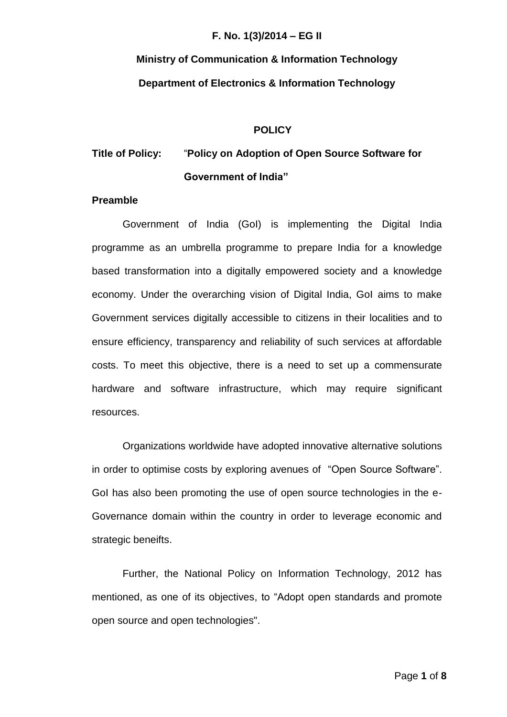# **Ministry of Communication & Information Technology Department of Electronics & Information Technology**

#### **POLICY**

## **Title of Policy:** "**Policy on Adoption of Open Source Software for Government of India"**

#### **Preamble**

Government of India (GoI) is implementing the Digital India programme as an umbrella programme to prepare India for a knowledge based transformation into a digitally empowered society and a knowledge economy. Under the overarching vision of Digital India, GoI aims to make Government services digitally accessible to citizens in their localities and to ensure efficiency, transparency and reliability of such services at affordable costs. To meet this objective, there is a need to set up a commensurate hardware and software infrastructure, which may require significant resources.

Organizations worldwide have adopted innovative alternative solutions in order to optimise costs by exploring avenues of "Open Source Software". GoI has also been promoting the use of open source technologies in the e-Governance domain within the country in order to leverage economic and strategic beneifts.

Further, the National Policy on Information Technology, 2012 has mentioned, as one of its objectives, to "Adopt open standards and promote open source and open technologies".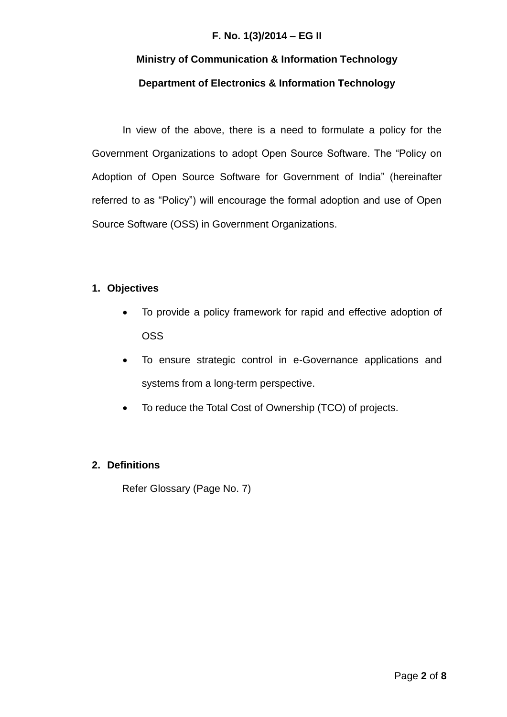## **Ministry of Communication & Information Technology Department of Electronics & Information Technology**

In view of the above, there is a need to formulate a policy for the Government Organizations to adopt Open Source Software. The "Policy on Adoption of Open Source Software for Government of India" (hereinafter referred to as "Policy") will encourage the formal adoption and use of Open Source Software (OSS) in Government Organizations.

## **1. Objectives**

- To provide a policy framework for rapid and effective adoption of OSS
- To ensure strategic control in e-Governance applications and systems from a long-term perspective.
- To reduce the Total Cost of Ownership (TCO) of projects.

## **2. Definitions**

Refer Glossary (Page No. 7)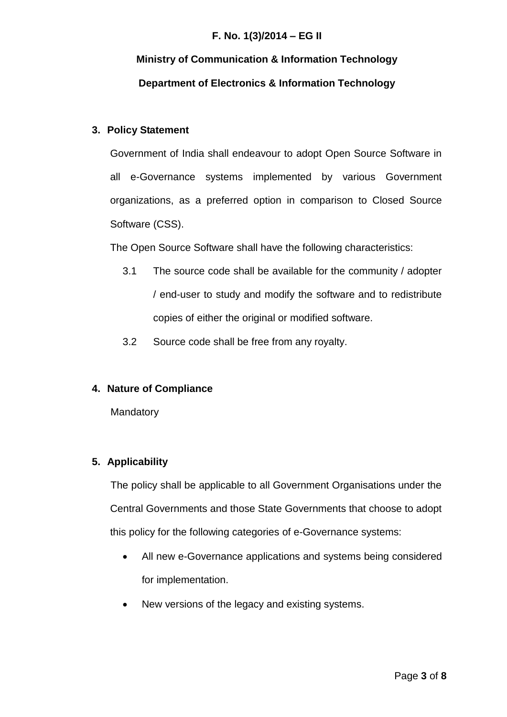# **Ministry of Communication & Information Technology Department of Electronics & Information Technology**

## **3. Policy Statement**

Government of India shall endeavour to adopt Open Source Software in all e-Governance systems implemented by various Government organizations, as a preferred option in comparison to Closed Source Software (CSS).

The Open Source Software shall have the following characteristics:

- 3.1 The source code shall be available for the community / adopter / end-user to study and modify the software and to redistribute copies of either the original or modified software.
- 3.2 Source code shall be free from any royalty.

### **4. Nature of Compliance**

**Mandatory** 

## **5. Applicability**

The policy shall be applicable to all Government Organisations under the Central Governments and those State Governments that choose to adopt this policy for the following categories of e-Governance systems:

- All new e-Governance applications and systems being considered for implementation.
- New versions of the legacy and existing systems.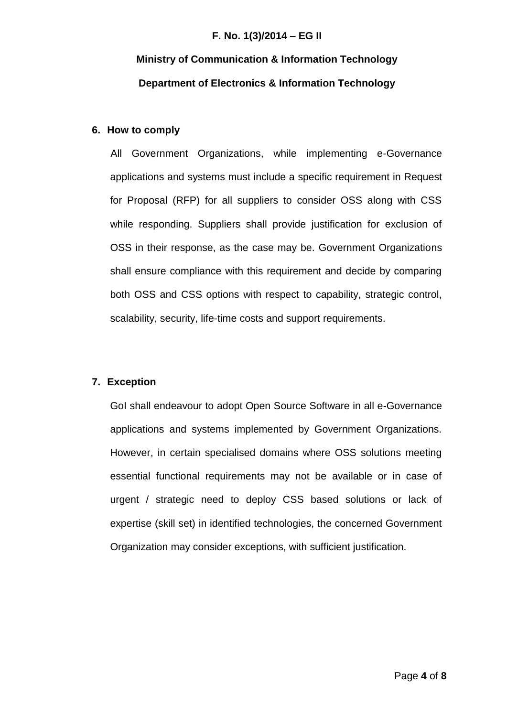## **Ministry of Communication & Information Technology Department of Electronics & Information Technology**

#### **6. How to comply**

All Government Organizations, while implementing e-Governance applications and systems must include a specific requirement in Request for Proposal (RFP) for all suppliers to consider OSS along with CSS while responding. Suppliers shall provide justification for exclusion of OSS in their response, as the case may be. Government Organizations shall ensure compliance with this requirement and decide by comparing both OSS and CSS options with respect to capability, strategic control, scalability, security, life-time costs and support requirements.

#### **7. Exception**

GoI shall endeavour to adopt Open Source Software in all e-Governance applications and systems implemented by Government Organizations. However, in certain specialised domains where OSS solutions meeting essential functional requirements may not be available or in case of urgent / strategic need to deploy CSS based solutions or lack of expertise (skill set) in identified technologies, the concerned Government Organization may consider exceptions, with sufficient justification.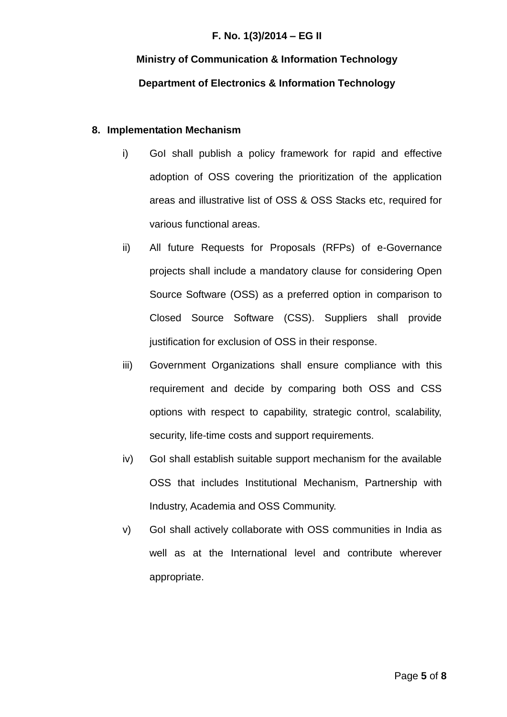# **Ministry of Communication & Information Technology Department of Electronics & Information Technology**

#### **8. Implementation Mechanism**

- i) GoI shall publish a policy framework for rapid and effective adoption of OSS covering the prioritization of the application areas and illustrative list of OSS & OSS Stacks etc, required for various functional areas.
- ii) All future Requests for Proposals (RFPs) of e-Governance projects shall include a mandatory clause for considering Open Source Software (OSS) as a preferred option in comparison to Closed Source Software (CSS). Suppliers shall provide justification for exclusion of OSS in their response.
- iii) Government Organizations shall ensure compliance with this requirement and decide by comparing both OSS and CSS options with respect to capability, strategic control, scalability, security, life-time costs and support requirements.
- iv) GoI shall establish suitable support mechanism for the available OSS that includes Institutional Mechanism, Partnership with Industry, Academia and OSS Community.
- v) GoI shall actively collaborate with OSS communities in India as well as at the International level and contribute wherever appropriate.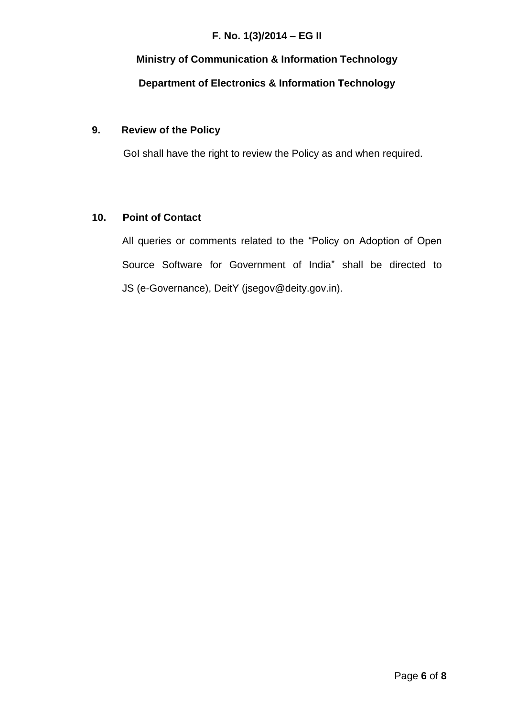## **Ministry of Communication & Information Technology Department of Electronics & Information Technology**

## **9. Review of the Policy**

GoI shall have the right to review the Policy as and when required.

## **10. Point of Contact**

All queries or comments related to the "Policy on Adoption of Open Source Software for Government of India" shall be directed to JS (e-Governance), DeitY (jsegov@deity.gov.in).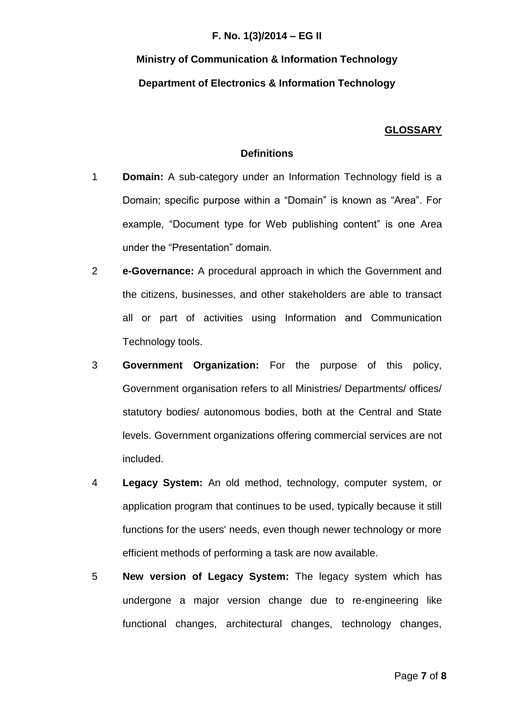# **Ministry of Communication & Information Technology Department of Electronics & Information Technology**

## **GLOSSARY**

#### **Definitions**

- 1 **Domain:** A sub-category under an Information Technology field is a Domain; specific purpose within a "Domain" is known as "Area". For example, "Document type for Web publishing content" is one Area under the "Presentation" domain.
- 2 **e-Governance:** A procedural approach in which the Government and the citizens, businesses, and other stakeholders are able to transact all or part of activities using Information and Communication Technology tools.
- 3 **Government Organization:** For the purpose of this policy, Government organisation refers to all Ministries/ Departments/ offices/ statutory bodies/ autonomous bodies, both at the Central and State levels. Government organizations offering commercial services are not included.
- 4 **Legacy System:** An old method, technology, computer system, or application program that continues to be used, typically because it still functions for the users' needs, even though newer technology or more efficient methods of performing a task are now available.
- 5 **New version of Legacy System:** The legacy system which has undergone a major version change due to re-engineering like functional changes, architectural changes, technology changes,